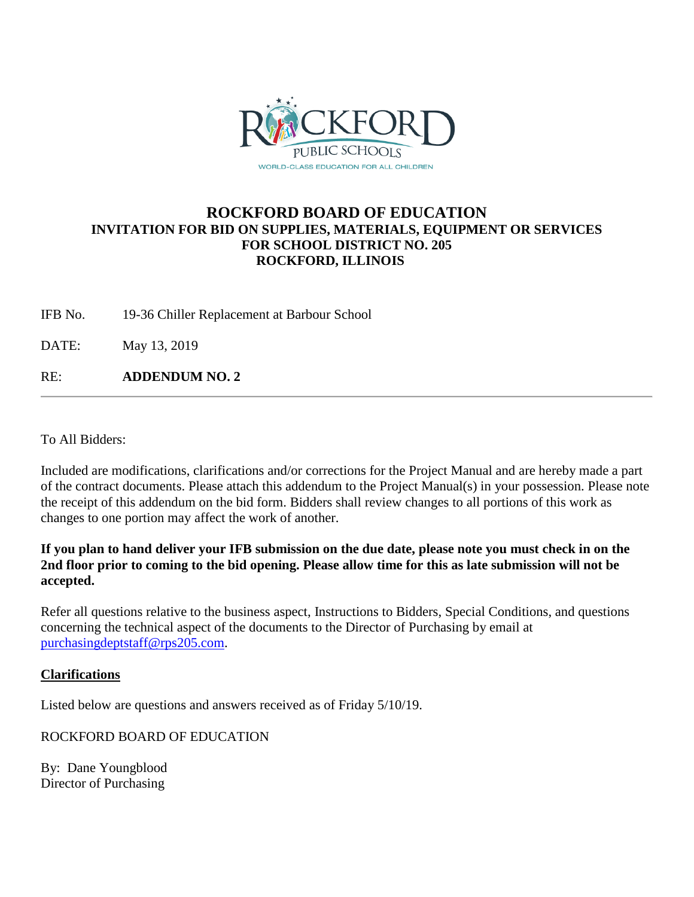

## **ROCKFORD BOARD OF EDUCATION INVITATION FOR BID ON SUPPLIES, MATERIALS, EQUIPMENT OR SERVICES FOR SCHOOL DISTRICT NO. 205 ROCKFORD, ILLINOIS**

IFB No. 19-36 Chiller Replacement at Barbour School

DATE: May 13, 2019

RE: **ADDENDUM NO. 2**

To All Bidders:

Included are modifications, clarifications and/or corrections for the Project Manual and are hereby made a part of the contract documents. Please attach this addendum to the Project Manual(s) in your possession. Please note the receipt of this addendum on the bid form. Bidders shall review changes to all portions of this work as changes to one portion may affect the work of another.

**If you plan to hand deliver your IFB submission on the due date, please note you must check in on the 2nd floor prior to coming to the bid opening. Please allow time for this as late submission will not be accepted.**

Refer all questions relative to the business aspect, Instructions to Bidders, Special Conditions, and questions concerning the technical aspect of the documents to the Director of Purchasing by email at [purchasingdeptstaff@rps205.com.](mailto:purchasingdeptstaff@rps205.com)

## **Clarifications**

Listed below are questions and answers received as of Friday 5/10/19.

ROCKFORD BOARD OF EDUCATION

By: Dane Youngblood Director of Purchasing